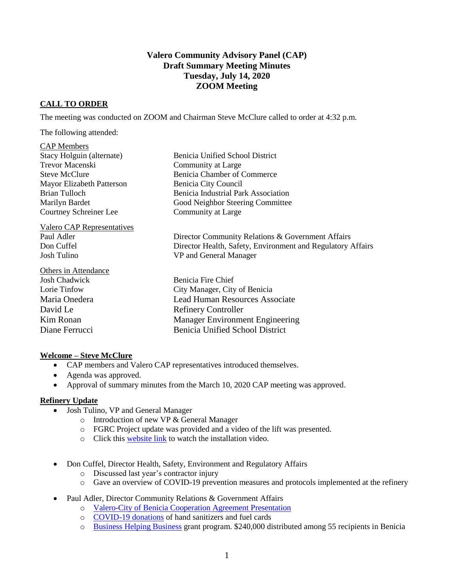# **Valero Community Advisory Panel (CAP) Draft Summary Meeting Minutes Tuesday, July 14, 2020 ZOOM Meeting**

# **CALL TO ORDER**

The meeting was conducted on ZOOM and Chairman Steve McClure called to order at 4:32 p.m.

The following attended:

#### CAP Members

| <b>Mayor Elizabeth Patterson</b> |
|----------------------------------|
|                                  |
|                                  |
|                                  |
|                                  |

Valero CAP Representatives Josh Tulino VP and General Manager

Others in Attendance Josh Chadwick Benicia Fire Chief David Le Refinery Controller

Benicia Unified School District Community at Large Benicia Chamber of Commerce Benicia City Council Benicia Industrial Park Association Good Neighbor Steering Committee Community at Large

Paul Adler Director Community Relations & Government Affairs Don Cuffel Director Health, Safety, Environment and Regulatory Affairs

Lorie Tinfow City Manager, City of Benicia Maria Onedera Lead Human Resources Associate Kim Ronan Manager Environment Engineering Diane Ferrucci Benicia Unified School District

## **Welcome – Steve McClure**

- CAP members and Valero CAP representatives introduced themselves.
- Agenda was approved.
- Approval of summary minutes from the March 10, 2020 CAP meeting was approved.

#### **Refinery Update**

- Josh Tulino, VP and General Manager
	- o Introduction of new VP & General Manager
	- o FGRC Project update was provided and a video of the lift was presented.
	- o Click this [website link](https://www.beniciacap.com/about) to watch the installation video.
- Don Cuffel, Director Health, Safety, Environment and Regulatory Affairs
	- o Discussed last year's contractor injury
	- o Gave an overview of COVID-19 prevention measures and protocols implemented at the refinery
- Paul Adler, Director Community Relations & Government Affairs
	- o [Valero-City of Benicia Cooperation Agreement Presentation](https://e348c262-4b2c-47d9-952b-2d65140aa9a2.filesusr.com/ugd/20ec48_a817b21bd53e40aa8a552aee152b6fe3.pdf)
	- o [COVID-19 donations](https://e348c262-4b2c-47d9-952b-2d65140aa9a2.filesusr.com/ugd/20ec48_fddfc2609ff04f439229005dc452c0c1.pdf) of hand sanitizers and fuel cards
	- o [Business Helping Business](https://e348c262-4b2c-47d9-952b-2d65140aa9a2.filesusr.com/ugd/20ec48_fddfc2609ff04f439229005dc452c0c1.pdf) grant program. \$240,000 distributed among 55 recipients in Benicia